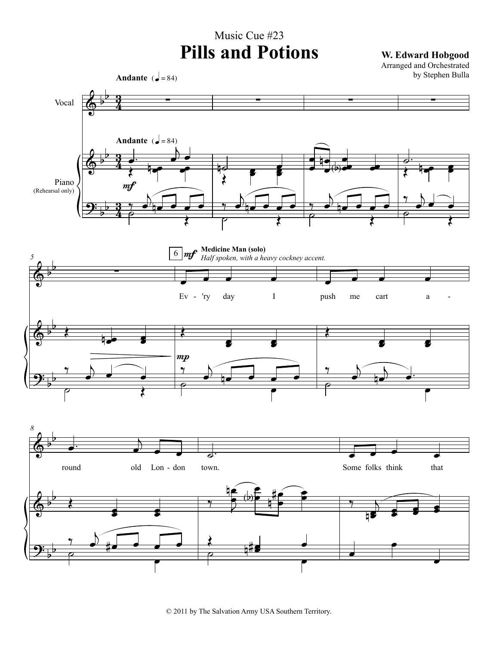## Music Cue #23 **Pills and Potions W. Edward Hobgood**

Arranged and Orchestrated by Stephen Bulla

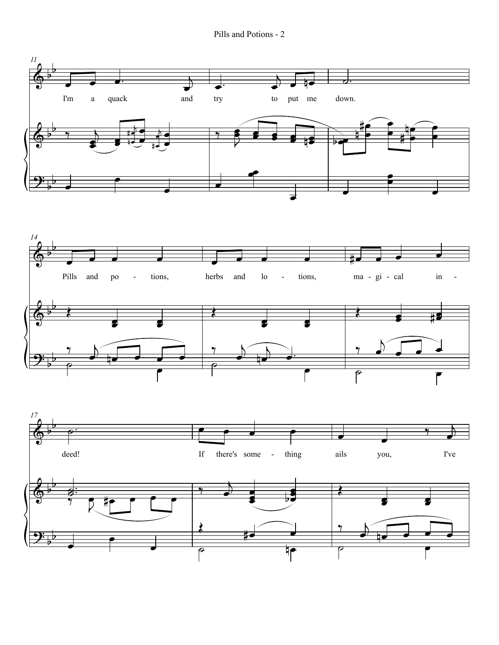Pills and Potions - 2

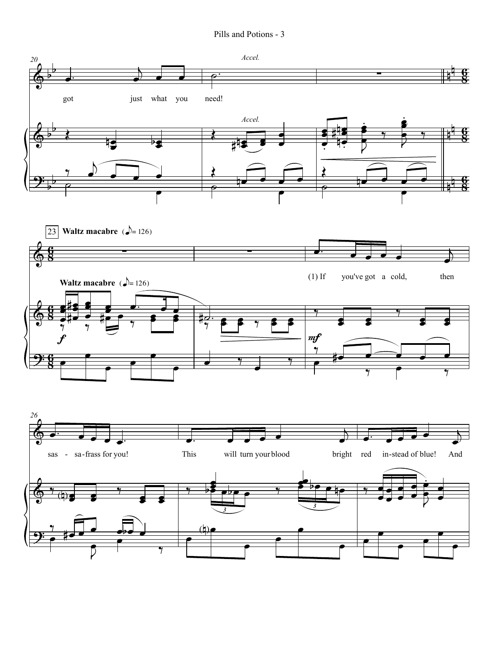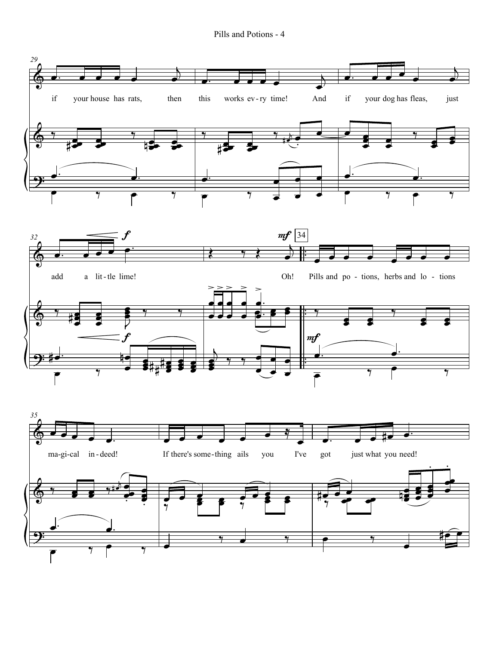Pills and Potions - 4

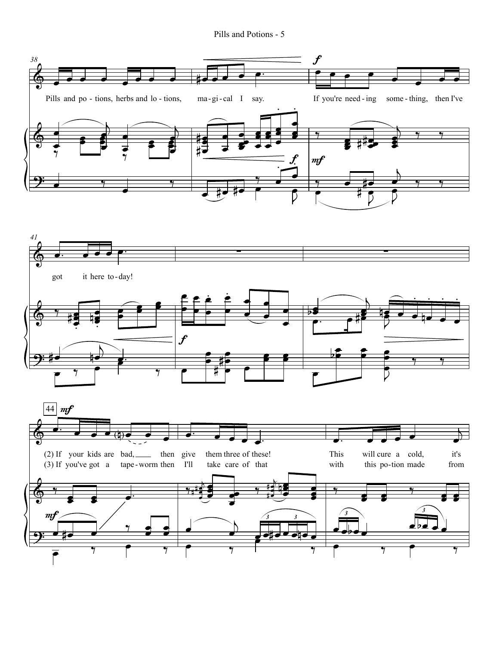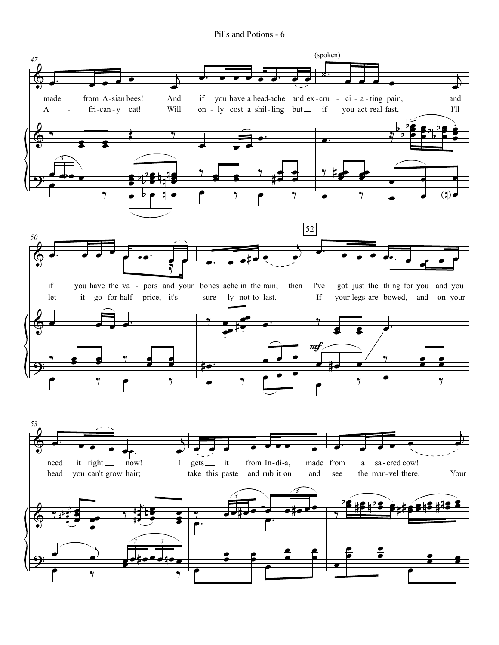Pills and Potions - 6

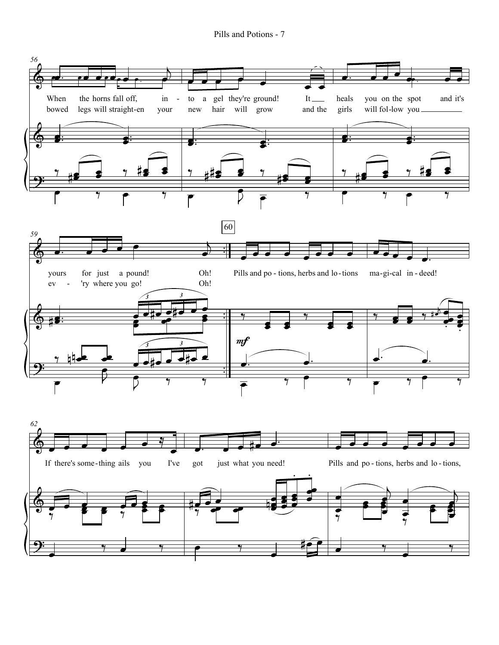Pills and Potions - 7